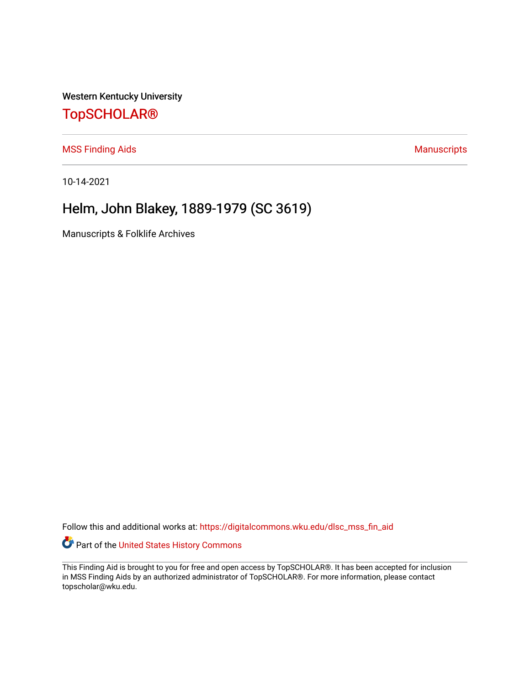Western Kentucky University

## [TopSCHOLAR®](https://digitalcommons.wku.edu/)

[MSS Finding Aids](https://digitalcommons.wku.edu/dlsc_mss_fin_aid) **Manuscripts** [Manuscripts](https://digitalcommons.wku.edu/dlsc_mss) **Manuscripts** 

10-14-2021

# Helm, John Blakey, 1889-1979 (SC 3619)

Manuscripts & Folklife Archives

Follow this and additional works at: [https://digitalcommons.wku.edu/dlsc\\_mss\\_fin\\_aid](https://digitalcommons.wku.edu/dlsc_mss_fin_aid?utm_source=digitalcommons.wku.edu%2Fdlsc_mss_fin_aid%2F4972&utm_medium=PDF&utm_campaign=PDFCoverPages) 

Part of the [United States History Commons](http://network.bepress.com/hgg/discipline/495?utm_source=digitalcommons.wku.edu%2Fdlsc_mss_fin_aid%2F4972&utm_medium=PDF&utm_campaign=PDFCoverPages) 

This Finding Aid is brought to you for free and open access by TopSCHOLAR®. It has been accepted for inclusion in MSS Finding Aids by an authorized administrator of TopSCHOLAR®. For more information, please contact topscholar@wku.edu.